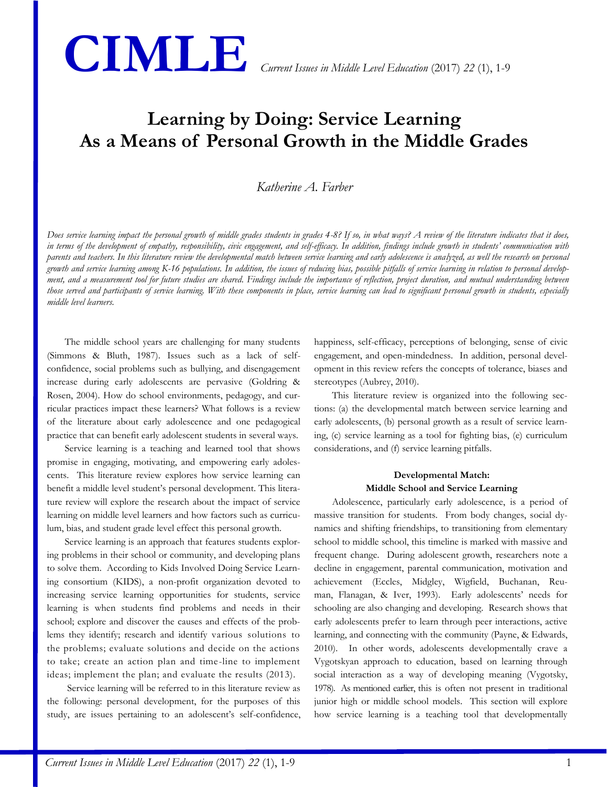

# **Learning by Doing: Service Learning As a Means of Personal Growth in the Middle Grades**

## *Katherine A. Farber*

*Does service learning impact the personal growth of middle grades students in grades 4-8? If so, in what ways? A review of the literature indicates that it does, in terms of the development of empathy, responsibility, civic engagement, and self-efficacy. In addition, findings include growth in students' communication with parents and teachers. In this literature review the developmental match between service learning and early adolescence is analyzed, as well the research on personal growth and service learning among K-16 populations. In addition, the issues of reducing bias, possible pitfalls of service learning in relation to personal development, and a measurement tool for future studies are shared. Findings include the importance of reflection, project duration, and mutual understanding between those served and participants of service learning. With these components in place, service learning can lead to significant personal growth in students, especially middle level learners.*

The middle school years are challenging for many students (Simmons & Bluth, 1987). Issues such as a lack of selfconfidence, social problems such as bullying, and disengagement increase during early adolescents are pervasive (Goldring & Rosen, 2004). How do school environments, pedagogy, and curricular practices impact these learners? What follows is a review of the literature about early adolescence and one pedagogical practice that can benefit early adolescent students in several ways.

Service learning is a teaching and learned tool that shows promise in engaging, motivating, and empowering early adolescents. This literature review explores how service learning can benefit a middle level student's personal development. This literature review will explore the research about the impact of service learning on middle level learners and how factors such as curriculum, bias, and student grade level effect this personal growth.

Service learning is an approach that features students exploring problems in their school or community, and developing plans to solve them. According to Kids Involved Doing Service Learning consortium (KIDS), a non-profit organization devoted to increasing service learning opportunities for students, service learning is when students find problems and needs in their school; explore and discover the causes and effects of the problems they identify; research and identify various solutions to the problems; evaluate solutions and decide on the actions to take; create an action plan and time-line to implement ideas; implement the plan; and evaluate the results (2013).

Service learning will be referred to in this literature review as the following: personal development, for the purposes of this study, are issues pertaining to an adolescent's self-confidence, happiness, self-efficacy, perceptions of belonging, sense of civic engagement, and open-mindedness. In addition, personal development in this review refers the concepts of tolerance, biases and stereotypes (Aubrey, 2010).

This literature review is organized into the following sections: (a) the developmental match between service learning and early adolescents, (b) personal growth as a result of service learning, (c) service learning as a tool for fighting bias, (e) curriculum considerations, and (f) service learning pitfalls.

#### **Developmental Match: Middle School and Service Learning**

Adolescence, particularly early adolescence, is a period of massive transition for students. From body changes, social dynamics and shifting friendships, to transitioning from elementary school to middle school, this timeline is marked with massive and frequent change. During adolescent growth, researchers note a decline in engagement, parental communication, motivation and achievement (Eccles, Midgley, Wigfield, Buchanan, Reuman, Flanagan, & Iver, 1993). Early adolescents' needs for schooling are also changing and developing. Research shows that early adolescents prefer to learn through peer interactions, active learning, and connecting with the community (Payne, & Edwards, 2010). In other words, adolescents developmentally crave a Vygotskyan approach to education, based on learning through social interaction as a way of developing meaning (Vygotsky, 1978). As mentioned earlier, this is often not present in traditional junior high or middle school models. This section will explore how service learning is a teaching tool that developmentally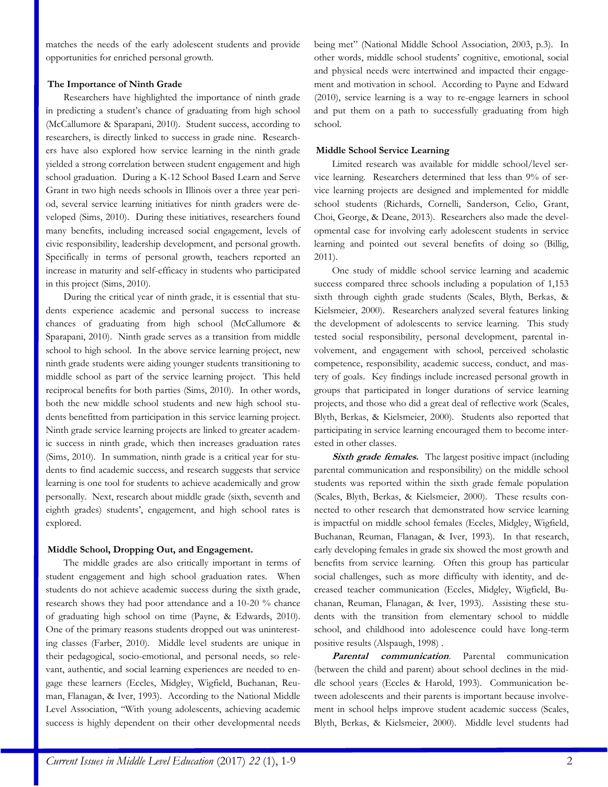matches the needs of the early adolescent students and provide opportunities for enriched personal growth.

## **The Importance of Ninth Grade**

Researchers have highlighted the importance of ninth grade in predicting a student's chance of graduating from high school (McCallumore & Sparapani, 2010). Student success, according to researchers, is directly linked to success in grade nine. Researchers have also explored how service learning in the ninth grade yielded a strong correlation between student engagement and high school graduation. During a K-12 School Based Learn and Serve Grant in two high needs schools in Illinois over a three year period, several service learning initiatives for ninth graders were developed (Sims, 2010). During these initiatives, researchers found many benefits, including increased social engagement, levels of civic responsibility, leadership development, and personal growth. Specifically in terms of personal growth, teachers reported an increase in maturity and self-efficacy in students who participated in this project (Sims, 2010).

During the critical year of ninth grade, it is essential that students experience academic and personal success to increase chances of graduating from high school (McCallumore & Sparapani, 2010). Ninth grade serves as a transition from middle school to high school. In the above service learning project, new ninth grade students were aiding younger students transitioning to middle school as part of the service learning project. This held reciprocal benefits for both parties (Sims, 2010). In other words, both the new middle school students and new high school students benefitted from participation in this service learning project. Ninth grade service learning projects are linked to greater academic success in ninth grade, which then increases graduation rates (Sims, 2010). In summation, ninth grade is a critical year for students to find academic success, and research suggests that service learning is one tool for students to achieve academically and grow personally. Next, research about middle grade (sixth, seventh and eighth grades) students', engagement, and high school rates is explored.

## **Middle School, Dropping Out, and Engagement.**

The middle grades are also critically important in terms of student engagement and high school graduation rates. When students do not achieve academic success during the sixth grade, research shows they had poor attendance and a 10-20 % chance of graduating high school on time (Payne, & Edwards, 2010). One of the primary reasons students dropped out was uninteresting classes (Farber, 2010). Middle level students are unique in their pedagogical, socio-emotional, and personal needs, so relevant, authentic, and social learning experiences are needed to engage these learners (Eccles, Midgley, Wigfield, Buchanan, Reuman, Flanagan, & Iver, 1993). According to the National Middle Level Association, "With young adolescents, achieving academic success is highly dependent on their other developmental needs being met" (National Middle School Association, 2003, p.3). In other words, middle school students' cognitive, emotional, social and physical needs were intertwined and impacted their engagement and motivation in school. According to Payne and Edward (2010), service learning is a way to re-engage learners in school and put them on a path to successfully graduating from high school.

### **Middle School Service Learning**

Limited research was available for middle school/level service learning. Researchers determined that less than 9% of service learning projects are designed and implemented for middle school students (Richards, Cornelli, Sanderson, Celio, Grant, Choi, George, & Deane, 2013). Researchers also made the developmental case for involving early adolescent students in service learning and pointed out several benefits of doing so (Billig, 2011).

One study of middle school service learning and academic success compared three schools including a population of 1,153 sixth through eighth grade students (Scales, Blyth, Berkas, & Kielsmeier, 2000). Researchers analyzed several features linking the development of adolescents to service learning. This study tested social responsibility, personal development, parental involvement, and engagement with school, perceived scholastic competence, responsibility, academic success, conduct, and mastery of goals. Key findings include increased personal growth in groups that participated in longer durations of service learning projects, and those who did a great deal of reflective work (Scales, Blyth, Berkas, & Kielsmeier, 2000). Students also reported that participating in service learning encouraged them to become interested in other classes.

**Sixth grade females.** The largest positive impact (including parental communication and responsibility) on the middle school students was reported within the sixth grade female population (Scales, Blyth, Berkas, & Kielsmeier, 2000). These results connected to other research that demonstrated how service learning is impactful on middle school females (Eccles, Midgley, Wigfield, Buchanan, Reuman, Flanagan, & Iver, 1993). In that research, early developing females in grade six showed the most growth and benefits from service learning. Often this group has particular social challenges, such as more difficulty with identity, and decreased teacher communication (Eccles, Midgley, Wigfield, Buchanan, Reuman, Flanagan, & Iver, 1993). Assisting these students with the transition from elementary school to middle school, and childhood into adolescence could have long-term positive results (Alspaugh, 1998) .

**Parental communication**. Parental communication (between the child and parent) about school declines in the middle school years (Eccles & Harold, 1993). Communication between adolescents and their parents is important because involvement in school helps improve student academic success (Scales, Blyth, Berkas, & Kielsmeier, 2000). Middle level students had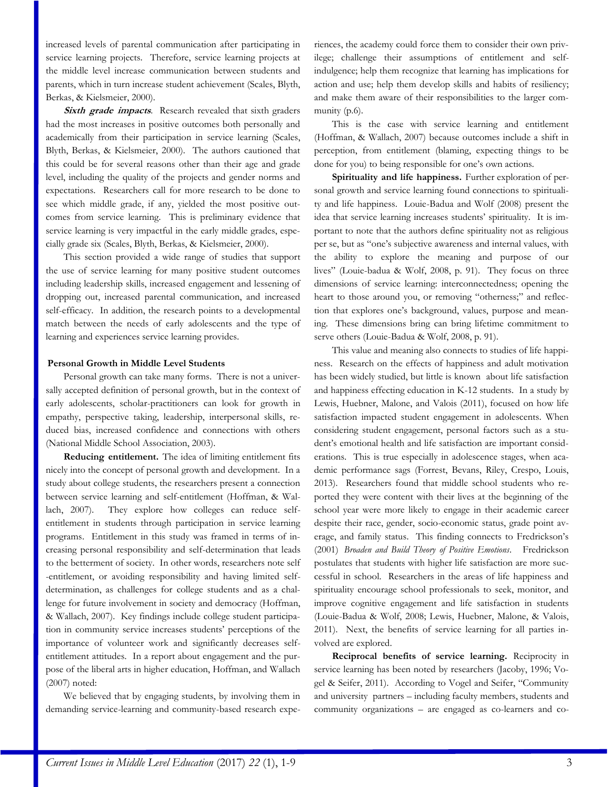increased levels of parental communication after participating in service learning projects. Therefore, service learning projects at the middle level increase communication between students and parents, which in turn increase student achievement (Scales, Blyth, Berkas, & Kielsmeier, 2000).

**Sixth grade impacts***.* Research revealed that sixth graders had the most increases in positive outcomes both personally and academically from their participation in service learning (Scales, Blyth, Berkas, & Kielsmeier, 2000). The authors cautioned that this could be for several reasons other than their age and grade level, including the quality of the projects and gender norms and expectations. Researchers call for more research to be done to see which middle grade, if any, yielded the most positive outcomes from service learning. This is preliminary evidence that service learning is very impactful in the early middle grades, especially grade six (Scales, Blyth, Berkas, & Kielsmeier, 2000).

This section provided a wide range of studies that support the use of service learning for many positive student outcomes including leadership skills, increased engagement and lessening of dropping out, increased parental communication, and increased self-efficacy. In addition, the research points to a developmental match between the needs of early adolescents and the type of learning and experiences service learning provides.

#### **Personal Growth in Middle Level Students**

Personal growth can take many forms. There is not a universally accepted definition of personal growth, but in the context of early adolescents, scholar-practitioners can look for growth in empathy, perspective taking, leadership, interpersonal skills, reduced bias, increased confidence and connections with others (National Middle School Association, 2003).

**Reducing entitlement.** The idea of limiting entitlement fits nicely into the concept of personal growth and development. In a study about college students, the researchers present a connection between service learning and self-entitlement (Hoffman, & Wallach, 2007). They explore how colleges can reduce selfentitlement in students through participation in service learning programs. Entitlement in this study was framed in terms of increasing personal responsibility and self-determination that leads to the betterment of society. In other words, researchers note self -entitlement, or avoiding responsibility and having limited selfdetermination, as challenges for college students and as a challenge for future involvement in society and democracy (Hoffman, & Wallach, 2007). Key findings include college student participation in community service increases students' perceptions of the importance of volunteer work and significantly decreases selfentitlement attitudes. In a report about engagement and the purpose of the liberal arts in higher education, Hoffman, and Wallach (2007) noted:

We believed that by engaging students, by involving them in demanding service-learning and community-based research experiences, the academy could force them to consider their own privilege; challenge their assumptions of entitlement and selfindulgence; help them recognize that learning has implications for action and use; help them develop skills and habits of resiliency; and make them aware of their responsibilities to the larger community (p.6).

This is the case with service learning and entitlement (Hoffman, & Wallach, 2007) because outcomes include a shift in perception, from entitlement (blaming, expecting things to be done for you) to being responsible for one's own actions.

**Spirituality and life happiness.** Further exploration of personal growth and service learning found connections to spirituality and life happiness. Louie-Badua and Wolf (2008) present the idea that service learning increases students' spirituality. It is important to note that the authors define spirituality not as religious per se, but as "one's subjective awareness and internal values, with the ability to explore the meaning and purpose of our lives" (Louie-badua & Wolf, 2008, p. 91). They focus on three dimensions of service learning: interconnectedness; opening the heart to those around you, or removing "otherness;" and reflection that explores one's background, values, purpose and meaning. These dimensions bring can bring lifetime commitment to serve others (Louie-Badua & Wolf, 2008, p. 91).

This value and meaning also connects to studies of life happiness. Research on the effects of happiness and adult motivation has been widely studied, but little is known about life satisfaction and happiness effecting education in K-12 students. In a study by Lewis, Huebner, Malone, and Valois (2011), focused on how life satisfaction impacted student engagement in adolescents. When considering student engagement, personal factors such as a student's emotional health and life satisfaction are important considerations. This is true especially in adolescence stages, when academic performance sags (Forrest, Bevans, Riley, Crespo, Louis, 2013). Researchers found that middle school students who reported they were content with their lives at the beginning of the school year were more likely to engage in their academic career despite their race, gender, socio-economic status, grade point average, and family status. This finding connects to Fredrickson's (2001) *Broaden and Build Theory of Positive Emotions*. Fredrickson postulates that students with higher life satisfaction are more successful in school. Researchers in the areas of life happiness and spirituality encourage school professionals to seek, monitor, and improve cognitive engagement and life satisfaction in students (Louie-Badua & Wolf, 2008; Lewis, Huebner, Malone, & Valois, 2011). Next, the benefits of service learning for all parties involved are explored.

**Reciprocal benefits of service learning.** Reciprocity in service learning has been noted by researchers (Jacoby, 1996; Vogel & Seifer, 2011). According to Vogel and Seifer, "Community and university partners – including faculty members, students and community organizations – are engaged as co-learners and co-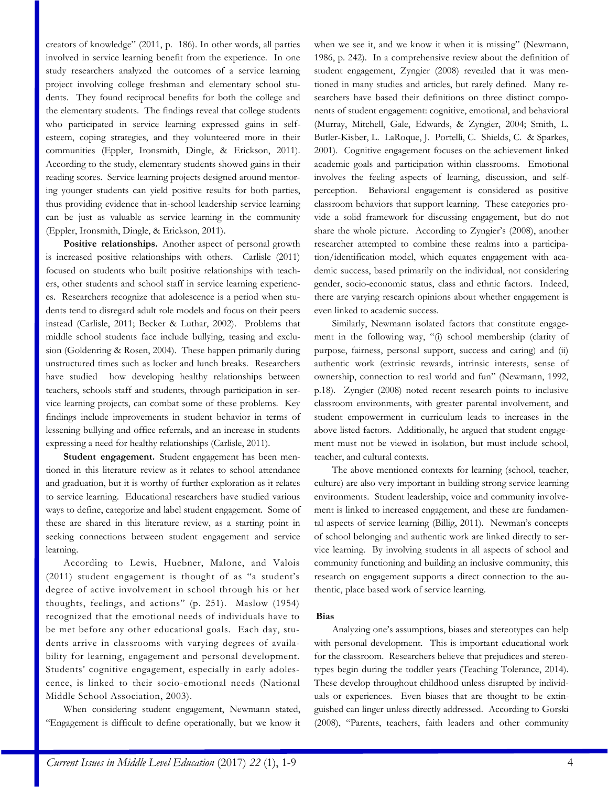creators of knowledge" (2011, p. 186). In other words, all parties involved in service learning benefit from the experience. In one study researchers analyzed the outcomes of a service learning project involving college freshman and elementary school students. They found reciprocal benefits for both the college and the elementary students. The findings reveal that college students who participated in service learning expressed gains in selfesteem, coping strategies, and they volunteered more in their communities (Eppler, Ironsmith, Dingle, & Erickson, 2011). According to the study, elementary students showed gains in their reading scores. Service learning projects designed around mentoring younger students can yield positive results for both parties, thus providing evidence that in-school leadership service learning can be just as valuable as service learning in the community (Eppler, Ironsmith, Dingle, & Erickson, 2011).

**Positive relationships.** Another aspect of personal growth is increased positive relationships with others. Carlisle (2011) focused on students who built positive relationships with teachers, other students and school staff in service learning experiences. Researchers recognize that adolescence is a period when students tend to disregard adult role models and focus on their peers instead (Carlisle, 2011; Becker & Luthar, 2002). Problems that middle school students face include bullying, teasing and exclusion (Goldenring & Rosen, 2004). These happen primarily during unstructured times such as locker and lunch breaks. Researchers have studied how developing healthy relationships between teachers, schools staff and students, through participation in service learning projects, can combat some of these problems. Key findings include improvements in student behavior in terms of lessening bullying and office referrals, and an increase in students expressing a need for healthy relationships (Carlisle, 2011).

**Student engagement.** Student engagement has been mentioned in this literature review as it relates to school attendance and graduation, but it is worthy of further exploration as it relates to service learning. Educational researchers have studied various ways to define, categorize and label student engagement. Some of these are shared in this literature review, as a starting point in seeking connections between student engagement and service learning.

According to Lewis, Huebner, Malone, and Valois (2011) student engagement is thought of as "a student's degree of active involvement in school through his or her thoughts, feelings, and actions" (p. 251). Maslow (1954) recognized that the emotional needs of individuals have to be met before any other educational goals. Each day, students arrive in classrooms with varying degrees of availability for learning, engagement and personal development. Students' cognitive engagement, especially in early adolescence, is linked to their socio-emotional needs (National Middle School Association, 2003).

When considering student engagement, Newmann stated, "Engagement is difficult to define operationally, but we know it when we see it, and we know it when it is missing" (Newmann, 1986, p. 242). In a comprehensive review about the definition of student engagement, Zyngier (2008) revealed that it was mentioned in many studies and articles, but rarely defined. Many researchers have based their definitions on three distinct components of student engagement: cognitive, emotional, and behavioral (Murray, Mitchell, Gale, Edwards, & Zyngier, 2004; Smith, L. Butler-Kisber, L. LaRoque, J. Portelli, C. Shields, C. & Sparkes, 2001). Cognitive engagement focuses on the achievement linked academic goals and participation within classrooms. Emotional involves the feeling aspects of learning, discussion, and selfperception. Behavioral engagement is considered as positive classroom behaviors that support learning. These categories provide a solid framework for discussing engagement, but do not share the whole picture. According to Zyngier's (2008), another researcher attempted to combine these realms into a participation/identification model, which equates engagement with academic success, based primarily on the individual, not considering gender, socio-economic status, class and ethnic factors. Indeed, there are varying research opinions about whether engagement is even linked to academic success.

Similarly, Newmann isolated factors that constitute engagement in the following way, "(i) school membership (clarity of purpose, fairness, personal support, success and caring) and (ii) authentic work (extrinsic rewards, intrinsic interests, sense of ownership, connection to real world and fun" (Newmann, 1992, p.18). Zyngier (2008) noted recent research points to inclusive classroom environments, with greater parental involvement, and student empowerment in curriculum leads to increases in the above listed factors. Additionally, he argued that student engagement must not be viewed in isolation, but must include school, teacher, and cultural contexts.

The above mentioned contexts for learning (school, teacher, culture) are also very important in building strong service learning environments. Student leadership, voice and community involvement is linked to increased engagement, and these are fundamental aspects of service learning (Billig, 2011). Newman's concepts of school belonging and authentic work are linked directly to service learning. By involving students in all aspects of school and community functioning and building an inclusive community, this research on engagement supports a direct connection to the authentic, place based work of service learning.

#### **Bias**

Analyzing one's assumptions, biases and stereotypes can help with personal development. This is important educational work for the classroom. Researchers believe that prejudices and stereotypes begin during the toddler years (Teaching Tolerance, 2014). These develop throughout childhood unless disrupted by individuals or experiences. Even biases that are thought to be extinguished can linger unless directly addressed. According to Gorski (2008), "Parents, teachers, faith leaders and other community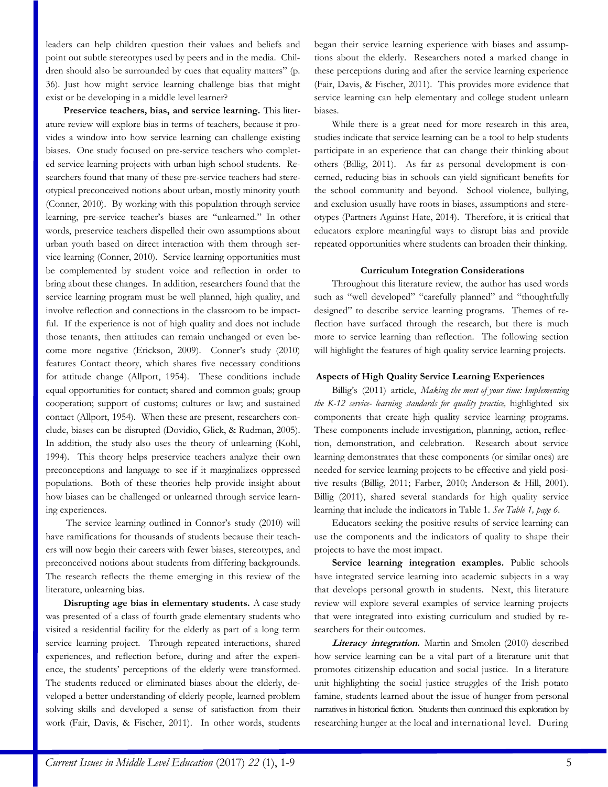leaders can help children question their values and beliefs and point out subtle stereotypes used by peers and in the media. Children should also be surrounded by cues that equality matters" (p. 36). Just how might service learning challenge bias that might exist or be developing in a middle level learner?

**Preservice teachers, bias, and service learning.** This literature review will explore bias in terms of teachers, because it provides a window into how service learning can challenge existing biases. One study focused on pre-service teachers who completed service learning projects with urban high school students. Researchers found that many of these pre-service teachers had stereotypical preconceived notions about urban, mostly minority youth (Conner, 2010). By working with this population through service learning, pre-service teacher's biases are "unlearned." In other words, preservice teachers dispelled their own assumptions about urban youth based on direct interaction with them through service learning (Conner, 2010). Service learning opportunities must be complemented by student voice and reflection in order to bring about these changes. In addition, researchers found that the service learning program must be well planned, high quality, and involve reflection and connections in the classroom to be impactful. If the experience is not of high quality and does not include those tenants, then attitudes can remain unchanged or even become more negative (Erickson, 2009). Conner's study (2010) features Contact theory, which shares five necessary conditions for attitude change (Allport, 1954). These conditions include equal opportunities for contact; shared and common goals; group cooperation; support of customs; cultures or law; and sustained contact (Allport, 1954). When these are present, researchers conclude, biases can be disrupted (Dovidio, Glick, & Rudman, 2005). In addition, the study also uses the theory of unlearning (Kohl, 1994). This theory helps preservice teachers analyze their own preconceptions and language to see if it marginalizes oppressed populations. Both of these theories help provide insight about how biases can be challenged or unlearned through service learning experiences.

The service learning outlined in Connor's study (2010) will have ramifications for thousands of students because their teachers will now begin their careers with fewer biases, stereotypes, and preconceived notions about students from differing backgrounds. The research reflects the theme emerging in this review of the literature, unlearning bias.

**Disrupting age bias in elementary students.** A case study was presented of a class of fourth grade elementary students who visited a residential facility for the elderly as part of a long term service learning project. Through repeated interactions, shared experiences, and reflection before, during and after the experience, the students' perceptions of the elderly were transformed. The students reduced or eliminated biases about the elderly, developed a better understanding of elderly people, learned problem solving skills and developed a sense of satisfaction from their work (Fair, Davis, & Fischer, 2011). In other words, students began their service learning experience with biases and assumptions about the elderly. Researchers noted a marked change in these perceptions during and after the service learning experience (Fair, Davis, & Fischer, 2011). This provides more evidence that service learning can help elementary and college student unlearn biases.

While there is a great need for more research in this area, studies indicate that service learning can be a tool to help students participate in an experience that can change their thinking about others (Billig, 2011). As far as personal development is concerned, reducing bias in schools can yield significant benefits for the school community and beyond. School violence, bullying, and exclusion usually have roots in biases, assumptions and stereotypes (Partners Against Hate, 2014). Therefore, it is critical that educators explore meaningful ways to disrupt bias and provide repeated opportunities where students can broaden their thinking.

### **Curriculum Integration Considerations**

Throughout this literature review, the author has used words such as "well developed" "carefully planned" and "thoughtfully designed" to describe service learning programs. Themes of reflection have surfaced through the research, but there is much more to service learning than reflection. The following section will highlight the features of high quality service learning projects.

#### **Aspects of High Quality Service Learning Experiences**

Billig's (2011) article, *Making the most of your time: Implementing the K-12 service- learning standards for quality practice,* highlighted six components that create high quality service learning programs. These components include investigation, planning, action, reflection, demonstration, and celebration. Research about service learning demonstrates that these components (or similar ones) are needed for service learning projects to be effective and yield positive results (Billig, 2011; Farber, 2010; Anderson & Hill, 2001). Billig (2011), shared several standards for high quality service learning that include the indicators in Table 1. *See Table 1, page 6.*

Educators seeking the positive results of service learning can use the components and the indicators of quality to shape their projects to have the most impact.

**Service learning integration examples.** Public schools have integrated service learning into academic subjects in a way that develops personal growth in students. Next, this literature review will explore several examples of service learning projects that were integrated into existing curriculum and studied by researchers for their outcomes.

**Literacy integration.** Martin and Smolen (2010) described how service learning can be a vital part of a literature unit that promotes citizenship education and social justice. In a literature unit highlighting the social justice struggles of the Irish potato famine, students learned about the issue of hunger from personal narratives in historical fiction. Students then continued this exploration by researching hunger at the local and international level. During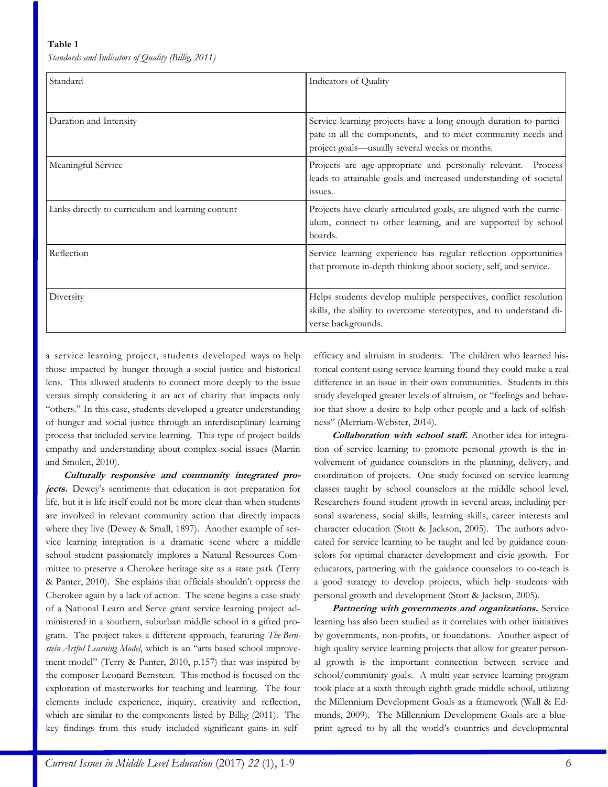#### **Table 1**

*Standards and Indicators of Quality (Billig, 2011)*

| Standard                                          | Indicators of Quality                                                                                                                                                              |
|---------------------------------------------------|------------------------------------------------------------------------------------------------------------------------------------------------------------------------------------|
| Duration and Intensity                            | Service learning projects have a long enough duration to partici-<br>pate in all the components, and to meet community needs and<br>project goals—usually several weeks or months. |
| Meaningful Service                                | Projects are age-appropriate and personally relevant. Process<br>leads to attainable goals and increased understanding of societal<br>issues.                                      |
| Links directly to curriculum and learning content | Projects have clearly articulated goals, are aligned with the curric-<br>ulum, connect to other learning, and are supported by school<br>boards.                                   |
| Reflection                                        | Service learning experience has regular reflection opportunities<br>that promote in-depth thinking about society, self, and service.                                               |
| Diversity                                         | Helps students develop multiple perspectives, conflict resolution<br>skills, the ability to overcome stereotypes, and to understand di-<br>verse backgrounds.                      |

a service learning project, students developed ways to help those impacted by hunger through a social justice and historical lens. This allowed students to connect more deeply to the issue versus simply considering it an act of charity that impacts only "others." In this case, students developed a greater understanding of hunger and social justice through an interdisciplinary learning process that included service learning. This type of project builds empathy and understanding about complex social issues (Martin and Smolen, 2010).

**Culturally responsive and community integrated projects.** Dewey's sentiments that education is not preparation for life, but it is life itself could not be more clear than when students are involved in relevant community action that directly impacts where they live (Dewey & Small, 1897). Another example of service learning integration is a dramatic scene where a middle school student passionately implores a Natural Resources Committee to preserve a Cherokee heritage site as a state park (Terry & Panter, 2010). She explains that officials shouldn't oppress the Cherokee again by a lack of action. The scene begins a case study of a National Learn and Serve grant service learning project administered in a southern, suburban middle school in a gifted program. The project takes a different approach, featuring *The Bernstein Artful Learning Model*, which is an "arts based school improvement model" (Terry & Panter, 2010, p.157) that was inspired by the composer Leonard Bernstein. This method is focused on the exploration of masterworks for teaching and learning. The four elements include experience, inquiry, creativity and reflection, which are similar to the components listed by Billig (2011). The key findings from this study included significant gains in selfefficacy and altruism in students. The children who learned historical content using service learning found they could make a real difference in an issue in their own communities. Students in this study developed greater levels of altruism, or "feelings and behavior that show a desire to help other people and a lack of selfishness" (Merriam-Webster, 2014).

**Collaboration with school staff.** Another idea for integration of service learning to promote personal growth is the involvement of guidance counselors in the planning, delivery, and coordination of projects. One study focused on service learning classes taught by school counselors at the middle school level. Researchers found student growth in several areas, including personal awareness, social skills, learning skills, career interests and character education (Stott & Jackson, 2005). The authors advocated for service learning to be taught and led by guidance counselors for optimal character development and civic growth. For educators, partnering with the guidance counselors to co-teach is a good strategy to develop projects, which help students with personal growth and development (Stott & Jackson, 2005).

**Partnering with governments and organizations.** Service learning has also been studied as it correlates with other initiatives by governments, non-profits, or foundations. Another aspect of high quality service learning projects that allow for greater personal growth is the important connection between service and school/community goals. A multi-year service learning program took place at a sixth through eighth grade middle school, utilizing the Millennium Development Goals as a framework (Wall & Edmunds, 2009). The Millennium Development Goals are a blueprint agreed to by all the world's countries and developmental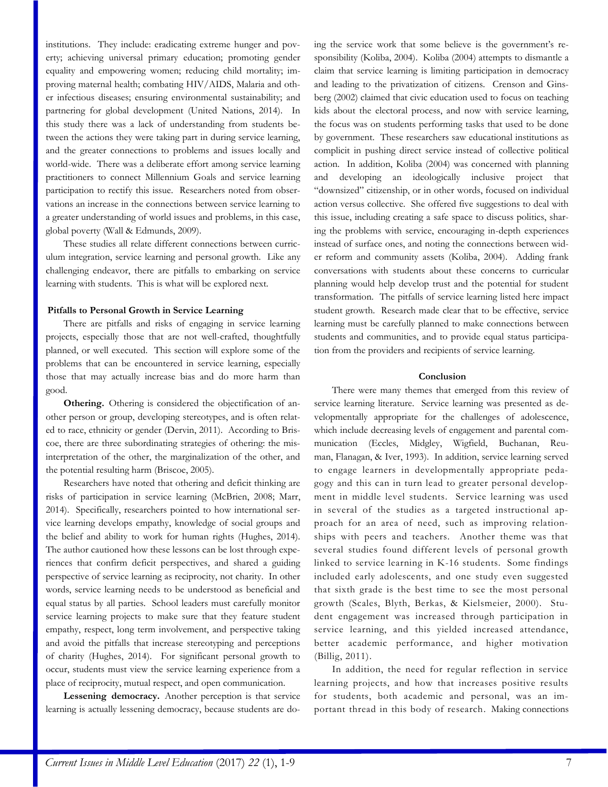institutions. They include: eradicating extreme hunger and poverty; achieving universal primary education; promoting gender equality and empowering women; reducing child mortality; improving maternal health; combating HIV/AIDS, Malaria and other infectious diseases; ensuring environmental sustainability; and partnering for global development (United Nations, 2014). In this study there was a lack of understanding from students between the actions they were taking part in during service learning, and the greater connections to problems and issues locally and world-wide. There was a deliberate effort among service learning practitioners to connect Millennium Goals and service learning participation to rectify this issue. Researchers noted from observations an increase in the connections between service learning to a greater understanding of world issues and problems, in this case, global poverty (Wall & Edmunds, 2009).

These studies all relate different connections between curriculum integration, service learning and personal growth. Like any challenging endeavor, there are pitfalls to embarking on service learning with students. This is what will be explored next.

#### **Pitfalls to Personal Growth in Service Learning**

There are pitfalls and risks of engaging in service learning projects, especially those that are not well-crafted, thoughtfully planned, or well executed. This section will explore some of the problems that can be encountered in service learning, especially those that may actually increase bias and do more harm than good.

**Othering.** Othering is considered the objectification of another person or group, developing stereotypes, and is often related to race, ethnicity or gender (Dervin, 2011). According to Briscoe, there are three subordinating strategies of othering: the misinterpretation of the other, the marginalization of the other, and the potential resulting harm (Briscoe, 2005).

Researchers have noted that othering and deficit thinking are risks of participation in service learning (McBrien, 2008; Marr, 2014). Specifically, researchers pointed to how international service learning develops empathy, knowledge of social groups and the belief and ability to work for human rights (Hughes, 2014). The author cautioned how these lessons can be lost through experiences that confirm deficit perspectives, and shared a guiding perspective of service learning as reciprocity, not charity. In other words, service learning needs to be understood as beneficial and equal status by all parties. School leaders must carefully monitor service learning projects to make sure that they feature student empathy, respect, long term involvement, and perspective taking and avoid the pitfalls that increase stereotyping and perceptions of charity (Hughes, 2014). For significant personal growth to occur, students must view the service learning experience from a place of reciprocity, mutual respect, and open communication.

**Lessening democracy.** Another perception is that service learning is actually lessening democracy, because students are doing the service work that some believe is the government's responsibility (Koliba, 2004). Koliba (2004) attempts to dismantle a claim that service learning is limiting participation in democracy and leading to the privatization of citizens. Crenson and Ginsberg (2002) claimed that civic education used to focus on teaching kids about the electoral process, and now with service learning, the focus was on students performing tasks that used to be done by government. These researchers saw educational institutions as complicit in pushing direct service instead of collective political action. In addition, Koliba (2004) was concerned with planning and developing an ideologically inclusive project that "downsized" citizenship, or in other words, focused on individual action versus collective. She offered five suggestions to deal with this issue, including creating a safe space to discuss politics, sharing the problems with service, encouraging in-depth experiences instead of surface ones, and noting the connections between wider reform and community assets (Koliba, 2004). Adding frank conversations with students about these concerns to curricular planning would help develop trust and the potential for student transformation. The pitfalls of service learning listed here impact student growth. Research made clear that to be effective, service learning must be carefully planned to make connections between students and communities, and to provide equal status participation from the providers and recipients of service learning.

#### **Conclusion**

There were many themes that emerged from this review of service learning literature. Service learning was presented as developmentally appropriate for the challenges of adolescence, which include decreasing levels of engagement and parental communication (Eccles, Midgley, Wigfield, Buchanan, Reuman, Flanagan, & Iver, 1993). In addition, service learning served to engage learners in developmentally appropriate pedagogy and this can in turn lead to greater personal development in middle level students. Service learning was used in several of the studies as a targeted instructional approach for an area of need, such as improving relationships with peers and teachers. Another theme was that several studies found different levels of personal growth linked to service learning in K-16 students. Some findings included early adolescents, and one study even suggested that sixth grade is the best time to see the most personal growth (Scales, Blyth, Berkas, & Kielsmeier, 2000). Student engagement was increased through participation in service learning, and this yielded increased attendance, better academic performance, and higher motivation (Billig, 2011).

In addition, the need for regular reflection in service learning projects, and how that increases positive results for students, both academic and personal, was an important thread in this body of research. Making connections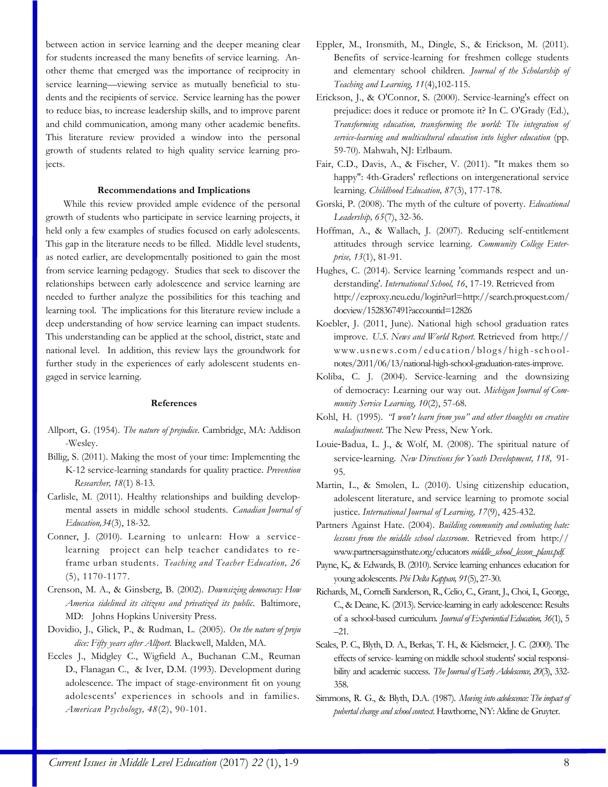between action in service learning and the deeper meaning clear for students increased the many benefits of service learning. Another theme that emerged was the importance of reciprocity in service learning—viewing service as mutually beneficial to students and the recipients of service. Service learning has the power to reduce bias, to increase leadership skills, and to improve parent and child communication, among many other academic benefits. This literature review provided a window into the personal growth of students related to high quality service learning projects.

#### **Recommendations and Implications**

While this review provided ample evidence of the personal growth of students who participate in service learning projects, it held only a few examples of studies focused on early adolescents. This gap in the literature needs to be filled. Middle level students, as noted earlier, are developmentally positioned to gain the most from service learning pedagogy. Studies that seek to discover the relationships between early adolescence and service learning are needed to further analyze the possibilities for this teaching and learning tool. The implications for this literature review include a deep understanding of how service learning can impact students. This understanding can be applied at the school, district, state and national level. In addition, this review lays the groundwork for further study in the experiences of early adolescent students engaged in service learning.

#### **References**

- Allport, G. (1954). *The nature of prejudice*. Cambridge, MA: Addison -Wesley.
- Billig, S. (2011). Making the most of your time: Implementing the K-12 service-learning standards for quality practice. *Prevention Researcher, 18*(1) 8-13.
- Carlisle, M. (2011). Healthy relationships and building developmental assets in middle school students. *Canadian Journal of Education,34*(3), 18-32.
- Conner, J. (2010). Learning to unlearn: How a servicelearning project can help teacher candidates to reframe urban students. *Teaching and Teacher Education, 26* (5), 1170-1177.
- Crenson, M. A., & Ginsberg, B. (2002). *Downsizing democracy: How America sidelined its citizens and privatized its public*. Baltimore, MD: Johns Hopkins University Press.
- Dovidio, J., Glick, P., & Rudman, L. (2005). *On the nature of preju dice: Fifty years after Allport.* Blackwell, Malden, MA.
- Eccles J., Midgley C., Wigfield A., Buchanan C.M., Reuman D., Flanagan C., & Iver, D.M. (1993). Development during adolescence. The impact of stage-environment fit on young adolescents' experiences in schools and in families. *American Psychology, 48*(2), 90-101.
- Eppler, M., Ironsmith, M., Dingle, S., & Erickson, M. (2011). Benefits of service-learning for freshmen college students and elementary school children. *Journal of the Scholarship of Teaching and Learning, 11*(4),102-115.
- Erickson, J., & O'Connor, S. (2000). Service-learning's effect on prejudice: does it reduce or promote it? In C. O'Grady (Ed.), *Transforming education, transforming the world: The integration of service-learning and multicultural education into higher education* (pp. 59-70)*.* Mahwah, NJ: Erlbaum.
- Fair, C.D., Davis, A., & Fischer, V. (2011). "It makes them so happy": 4th-Graders' reflections on intergenerational service learning. *Childhood Education, 87*(3), 177-178.
- Gorski, P. (2008). The myth of the culture of poverty. *Educational Leadership, 65*(7), 32-36.
- Hoffman, A., & Wallach, J. (2007). Reducing self-entitlement attitudes through service learning. *Community College Enterprise, 13*(1), 81-91.
- Hughes, C. (2014). Service learning 'commands respect and understanding'. *International School, 16*, 17-19. Retrieved from http://ezproxy.neu.edu/login?url=http://search.proquest.com/ docview/1528367491?accountid=12826
- Koebler, J. (2011, June). National high school graduation rates improve. *U.S. News and World Report.* Retrieved from http:// www.usnews.com/education/ blogs/high -schoolnotes/2011/06/13/national-high-school-graduation-rates-improve.
- Koliba, C. J. (2004). Service-learning and the downsizing of democracy: Learning our way out. *Michigan Journal of Community Service Learning, 10*(2), 57-68.
- Kohl, H. (1995). *"I won't learn from you" and other thoughts on creative maladjustment.* The New Press, New York.
- Louie‐Badua, L. J., & Wolf, M. (2008). The spiritual nature of service-learning. New Directions for Youth Development, 118, 91-95.
- Martin, L., & Smolen, L. (2010). Using citizenship education, adolescent literature, and service learning to promote social justice. *International Journal of Learning, 17*(9), 425-432.
- Partners Against Hate. (2004). *Building community and combating hate: lessons from the middle school classroom.* Retrieved from http:// www.partnersagainsthate.org/educators *middle\_school\_lesson\_plans.pdf.*
- Payne, K,. & Edwards, B. (2010). Service learning enhances education for young adolescents. *Phi Delta Kappan, 91*(5), 27-30.
- Richards, M., Cornelli Sanderson, R., Celio, C., Grant, J., Choi, I., George, C., & Deane, K. (2013). Service-learning in early adolescence: Results of a school-based curriculum. *Journal of Experiential Education, 36*(1), 5 –21.
- Scales, P. C., Blyth, D. A., Berkas, T. H., & Kielsmeier, J. C. (2000). The effects of service- learning on middle school students' social responsibility and academic success. *The Journal of Early Adolescence, 20*(3), 332- 358.
- Simmons, R. G., & Blyth, D.A. (1987). *Moving into adolescence: The impact of pubertal change and school context.* Hawthorne, NY: Aldine de Gruyter.